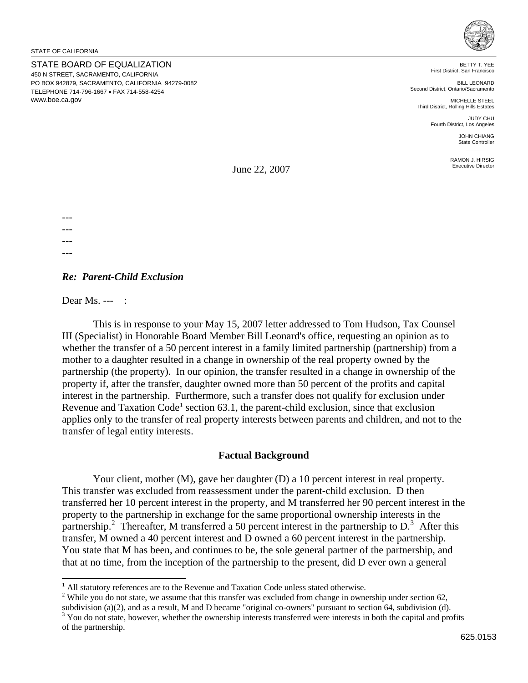STATE BOARD OF EQUALIZATION 450 N STREET, SACRAMENTO, CALIFORNIA PO BOX 942879, SACRAMENTO, CALIFORNIA 94279-0082 TELEPHONE 714-796-1667 • FAX 714-558-4254 <www.boe.ca.gov>



 BETTY T. YEE First District, San Francisco

BILL LEONARD Second District, Ontario/Sacramento

MICHELLE STEEL Third District, Rolling Hills Estates JUDY CHU

Fourth District, Los Angeles

JOHN CHIANG State Controller

RAMON J. HIRSIG Executive Director

June 22, 2007

--- --- ---

---

 $\overline{a}$ 

## *Re: Parent-Child Exclusion*

Dear Ms. --- :

This is in response to your May 15, 2007 letter addressed to Tom Hudson, Tax Counsel III (Specialist) in Honorable Board Member Bill Leonard's office, requesting an opinion as to whether the transfer of a 50 percent interest in a family limited partnership (partnership) from a mother to a daughter resulted in a change in ownership of the real property owned by the partnership (the property). In our opinion, the transfer resulted in a change in ownership of the property if, after the transfer, daughter owned more than 50 percent of the profits and capital interest in the partnership. Furthermore, such a transfer does not qualify for exclusion under Revenue and Taxation  $Code<sup>1</sup>$  $Code<sup>1</sup>$  $Code<sup>1</sup>$  section 63.1, the parent-child exclusion, since that exclusion applies only to the transfer of real property interests between parents and children, and not to the transfer of legal entity interests.

## **Factual Background**

Your client, mother (M), gave her daughter (D) a 10 percent interest in real property. This transfer was excluded from reassessment under the parent-child exclusion. D then transferred her 10 percent interest in the property, and M transferred her 90 percent interest in the property to the partnership in exchange for the same proportional ownership interests in the partnership.<sup>[2](#page-0-1)</sup> Thereafter, M transferred a 50 percent interest in the partnership to  $D<sup>3</sup>$  $D<sup>3</sup>$  $D<sup>3</sup>$ . After this transfer, M owned a 40 percent interest and D owned a 60 percent interest in the partnership. You state that M has been, and continues to be, the sole general partner of the partnership, and that at no time, from the inception of the partnership to the present, did D ever own a general

 $<sup>1</sup>$  All statutory references are to the Revenue and Taxation Code unless stated otherwise.</sup>

<span id="page-0-1"></span><span id="page-0-0"></span><sup>&</sup>lt;sup>1</sup> All statutory references are to the Revenue and Taxation Code unless stated otherwise.<br><sup>2</sup> While you do not state, we assume that this transfer was excluded from change in ownership under section 62, subdivision (a)(2), and as a result, M and D became "original co-owners" pursuant to section 64, subdivision (d).

<span id="page-0-2"></span> $3$  You do not state, however, whether the ownership interests transferred were interests in both the capital and profits of the partnership.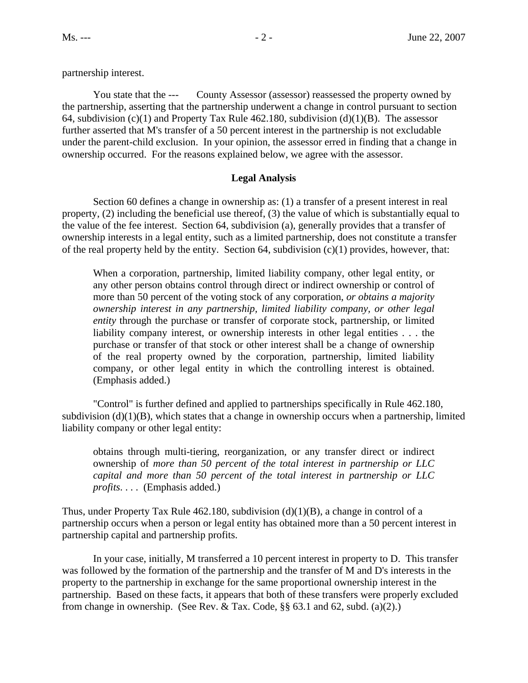partnership interest.

You state that the ---County Assessor (assessor) reassessed the property owned by the partnership, asserting that the partnership underwent a change in control pursuant to section 64, subdivision (c)(1) and Property Tax Rule 462.180, subdivision (d)(1)(B). The assessor further asserted that M's transfer of a 50 percent interest in the partnership is not excludable under the parent-child exclusion. In your opinion, the assessor erred in finding that a change in ownership occurred. For the reasons explained below, we agree with the assessor.

## **Legal Analysis**

Section 60 defines a change in ownership as: (1) a transfer of a present interest in real property, (2) including the beneficial use thereof, (3) the value of which is substantially equal to the value of the fee interest. Section 64, subdivision (a), generally provides that a transfer of ownership interests in a legal entity, such as a limited partnership, does not constitute a transfer of the real property held by the entity. Section 64, subdivision  $(c)(1)$  provides, however, that:

When a corporation, partnership, limited liability company, other legal entity, or any other person obtains control through direct or indirect ownership or control of more than 50 percent of the voting stock of any corporation, *or obtains a majority ownership interest in any partnership, limited liability company, or other legal entity* through the purchase or transfer of corporate stock, partnership, or limited liability company interest, or ownership interests in other legal entities . . . the purchase or transfer of that stock or other interest shall be a change of ownership of the real property owned by the corporation, partnership, limited liability company, or other legal entity in which the controlling interest is obtained. (Emphasis added.)

"Control" is further defined and applied to partnerships specifically in Rule 462.180, subdivision  $(d)(1)(B)$ , which states that a change in ownership occurs when a partnership, limited liability company or other legal entity:

obtains through multi-tiering, reorganization, or any transfer direct or indirect ownership of *more than 50 percent of the total interest in partnership or LLC capital and more than 50 percent of the total interest in partnership or LLC profits*. . . . (Emphasis added.)

Thus, under Property Tax Rule  $462.180$ , subdivision (d)(1)(B), a change in control of a partnership occurs when a person or legal entity has obtained more than a 50 percent interest in partnership capital and partnership profits.

In your case, initially, M transferred a 10 percent interest in property to D. This transfer was followed by the formation of the partnership and the transfer of M and D's interests in the property to the partnership in exchange for the same proportional ownership interest in the partnership. Based on these facts, it appears that both of these transfers were properly excluded from change in ownership. (See Rev. & Tax. Code,  $\S\S 63.1$  and 62, subd. (a)(2).)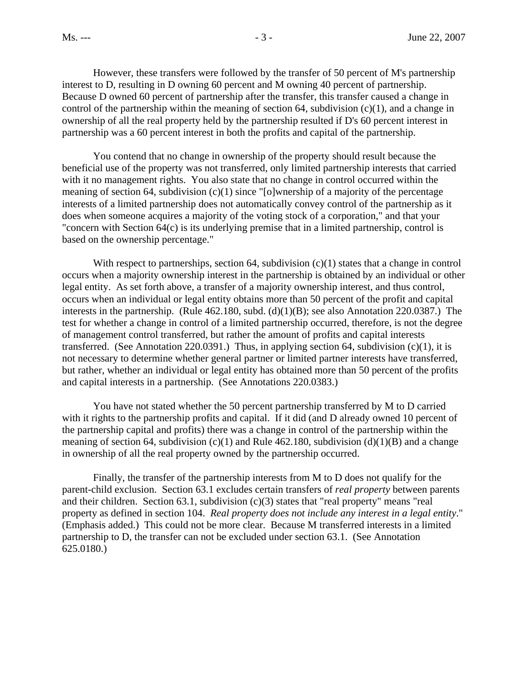However, these transfers were followed by the transfer of 50 percent of M's partnership interest to D, resulting in D owning 60 percent and M owning 40 percent of partnership. Because D owned 60 percent of partnership after the transfer, this transfer caused a change in control of the partnership within the meaning of section 64, subdivision  $(c)(1)$ , and a change in ownership of all the real property held by the partnership resulted if D's 60 percent interest in partnership was a 60 percent interest in both the profits and capital of the partnership.

You contend that no change in ownership of the property should result because the beneficial use of the property was not transferred, only limited partnership interests that carried with it no management rights. You also state that no change in control occurred within the meaning of section 64, subdivision (c)(1) since "[o]wnership of a majority of the percentage interests of a limited partnership does not automatically convey control of the partnership as it does when someone acquires a majority of the voting stock of a corporation," and that your "concern with Section 64(c) is its underlying premise that in a limited partnership, control is based on the ownership percentage."

With respect to partnerships, section 64, subdivision  $(c)(1)$  states that a change in control occurs when a majority ownership interest in the partnership is obtained by an individual or other legal entity. As set forth above, a transfer of a majority ownership interest, and thus control, occurs when an individual or legal entity obtains more than 50 percent of the profit and capital interests in the partnership. (Rule 462.180, subd. (d)(1)(B); see also Annotation 220.0387.) The test for whether a change in control of a limited partnership occurred, therefore, is not the degree of management control transferred, but rather the amount of profits and capital interests transferred. (See Annotation 220.0391.) Thus, in applying section 64, subdivision  $(c)(1)$ , it is not necessary to determine whether general partner or limited partner interests have transferred, but rather, whether an individual or legal entity has obtained more than 50 percent of the profits and capital interests in a partnership. (See Annotations 220.0383.)

You have not stated whether the 50 percent partnership transferred by M to D carried with it rights to the partnership profits and capital. If it did (and D already owned 10 percent of the partnership capital and profits) there was a change in control of the partnership within the meaning of section 64, subdivision (c)(1) and Rule 462.180, subdivision (d)(1)(B) and a change in ownership of all the real property owned by the partnership occurred.

property as defined in section 104. Real property does not include any interest in a legal entity." Finally, the transfer of the partnership interests from M to D does not qualify for the parent-child exclusion. Section 63.1 excludes certain transfers of *real property* between parents and their children. Section 63.1, subdivision (c)(3) states that "real property" means "real (Emphasis added.) This could not be more clear. Because M transferred interests in a limited partnership to D, the transfer can not be excluded under section 63.1. (See Annotation 625.0180.)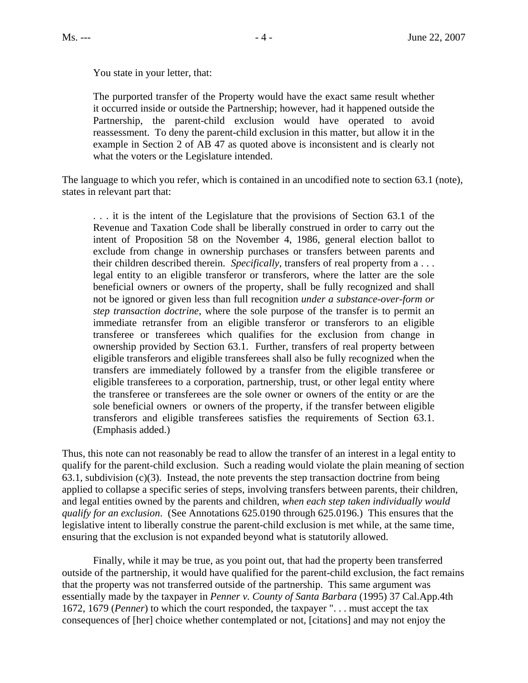You state in your letter, that:

The purported transfer of the Property would have the exact same result whether it occurred inside or outside the Partnership; however, had it happened outside the Partnership, the parent-child exclusion would have operated to avoid reassessment. To deny the parent-child exclusion in this matter, but allow it in the example in Section 2 of AB 47 as quoted above is inconsistent and is clearly not what the voters or the Legislature intended.

The language to which you refer, which is contained in an uncodified note to section 63.1 (note), states in relevant part that:

. . . it is the intent of the Legislature that the provisions of Section 63.1 of the Revenue and Taxation Code shall be liberally construed in order to carry out the intent of Proposition 58 on the November 4, 1986, general election ballot to exclude from change in ownership purchases or transfers between parents and their children described therein. *Specifically*, transfers of real property from a . . . legal entity to an eligible transferor or transferors, where the latter are the sole beneficial owners or owners of the property, shall be fully recognized and shall not be ignored or given less than full recognition *under a substance-over-form or step transaction doctrine*, where the sole purpose of the transfer is to permit an immediate retransfer from an eligible transferor or transferors to an eligible transferee or transferees which qualifies for the exclusion from change in ownership provided by Section 63.1. Further, transfers of real property between eligible transferors and eligible transferees shall also be fully recognized when the transfers are immediately followed by a transfer from the eligible transferee or eligible transferees to a corporation, partnership, trust, or other legal entity where the transferee or transferees are the sole owner or owners of the entity or are the sole beneficial owners or owners of the property, if the transfer between eligible transferors and eligible transferees satisfies the requirements of Section 63.1. (Emphasis added.)

Thus, this note can not reasonably be read to allow the transfer of an interest in a legal entity to qualify for the parent-child exclusion. Such a reading would violate the plain meaning of section 63.1, subdivision  $(c)(3)$ . Instead, the note prevents the step transaction doctrine from being applied to collapse a specific series of steps, involving transfers between parents, their children, and legal entities owned by the parents and children, *when each step taken individually would qualify for an exclusion*. (See Annotations 625.0190 through 625.0196.) This ensures that the legislative intent to liberally construe the parent-child exclusion is met while, at the same time, ensuring that the exclusion is not expanded beyond what is statutorily allowed.

Finally, while it may be true, as you point out, that had the property been transferred outside of the partnership, it would have qualified for the parent-child exclusion, the fact remains that the property was not transferred outside of the partnership. This same argument was essentially made by the taxpayer in *Penner v. County of Santa Barbara* (1995) 37 Cal.App.4th 1672, 1679 (*Penner*) to which the court responded, the taxpayer ". . . must accept the tax consequences of [her] choice whether contemplated or not, [citations] and may not enjoy the